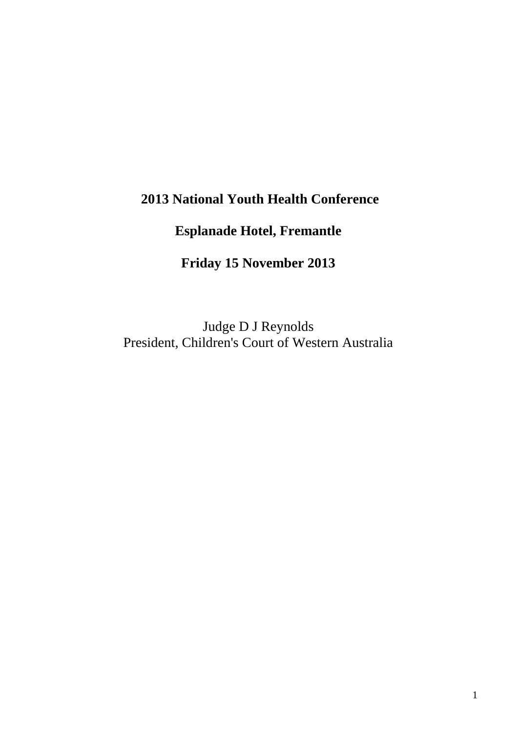## **2013 National Youth Health Conference**

# **Esplanade Hotel, Fremantle**

**Friday 15 November 2013** 

Judge D J Reynolds President, Children's Court of Western Australia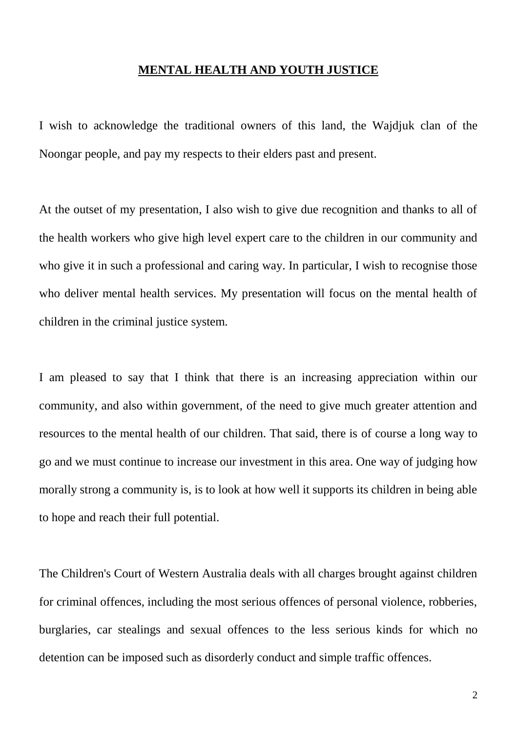#### **MENTAL HEALTH AND YOUTH JUSTICE**

I wish to acknowledge the traditional owners of this land, the Wajdjuk clan of the Noongar people, and pay my respects to their elders past and present.

At the outset of my presentation, I also wish to give due recognition and thanks to all of the health workers who give high level expert care to the children in our community and who give it in such a professional and caring way. In particular, I wish to recognise those who deliver mental health services. My presentation will focus on the mental health of children in the criminal justice system.

I am pleased to say that I think that there is an increasing appreciation within our community, and also within government, of the need to give much greater attention and resources to the mental health of our children. That said, there is of course a long way to go and we must continue to increase our investment in this area. One way of judging how morally strong a community is, is to look at how well it supports its children in being able to hope and reach their full potential.

The Children's Court of Western Australia deals with all charges brought against children for criminal offences, including the most serious offences of personal violence, robberies, burglaries, car stealings and sexual offences to the less serious kinds for which no detention can be imposed such as disorderly conduct and simple traffic offences.

2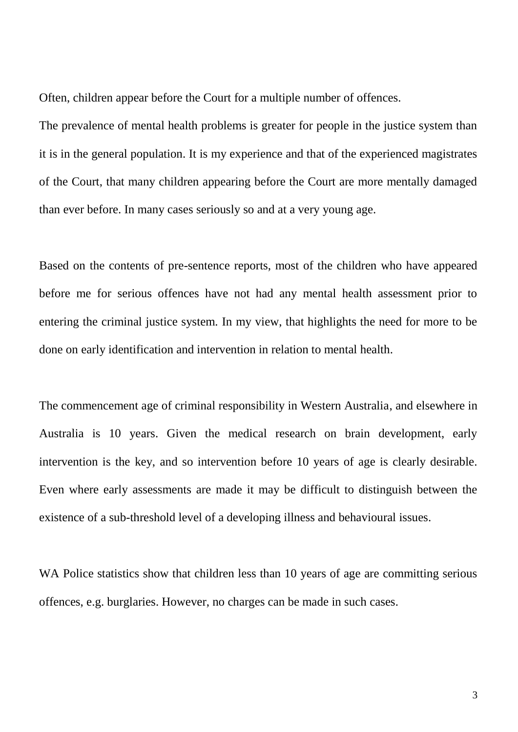Often, children appear before the Court for a multiple number of offences.

The prevalence of mental health problems is greater for people in the justice system than it is in the general population. It is my experience and that of the experienced magistrates of the Court, that many children appearing before the Court are more mentally damaged than ever before. In many cases seriously so and at a very young age.

Based on the contents of pre-sentence reports, most of the children who have appeared before me for serious offences have not had any mental health assessment prior to entering the criminal justice system. In my view, that highlights the need for more to be done on early identification and intervention in relation to mental health.

The commencement age of criminal responsibility in Western Australia, and elsewhere in Australia is 10 years. Given the medical research on brain development, early intervention is the key, and so intervention before 10 years of age is clearly desirable. Even where early assessments are made it may be difficult to distinguish between the existence of a sub-threshold level of a developing illness and behavioural issues.

WA Police statistics show that children less than 10 years of age are committing serious offences, e.g. burglaries. However, no charges can be made in such cases.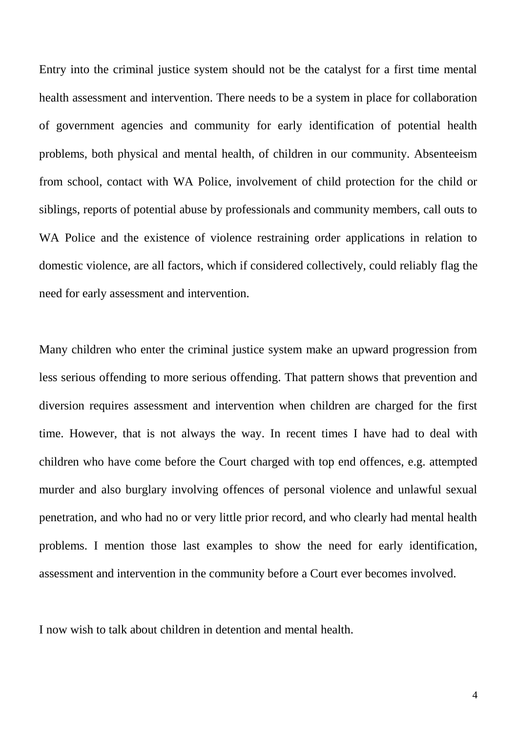Entry into the criminal justice system should not be the catalyst for a first time mental health assessment and intervention. There needs to be a system in place for collaboration of government agencies and community for early identification of potential health problems, both physical and mental health, of children in our community. Absenteeism from school, contact with WA Police, involvement of child protection for the child or siblings, reports of potential abuse by professionals and community members, call outs to WA Police and the existence of violence restraining order applications in relation to domestic violence, are all factors, which if considered collectively, could reliably flag the need for early assessment and intervention.

Many children who enter the criminal justice system make an upward progression from less serious offending to more serious offending. That pattern shows that prevention and diversion requires assessment and intervention when children are charged for the first time. However, that is not always the way. In recent times I have had to deal with children who have come before the Court charged with top end offences, e.g. attempted murder and also burglary involving offences of personal violence and unlawful sexual penetration, and who had no or very little prior record, and who clearly had mental health problems. I mention those last examples to show the need for early identification, assessment and intervention in the community before a Court ever becomes involved.

I now wish to talk about children in detention and mental health.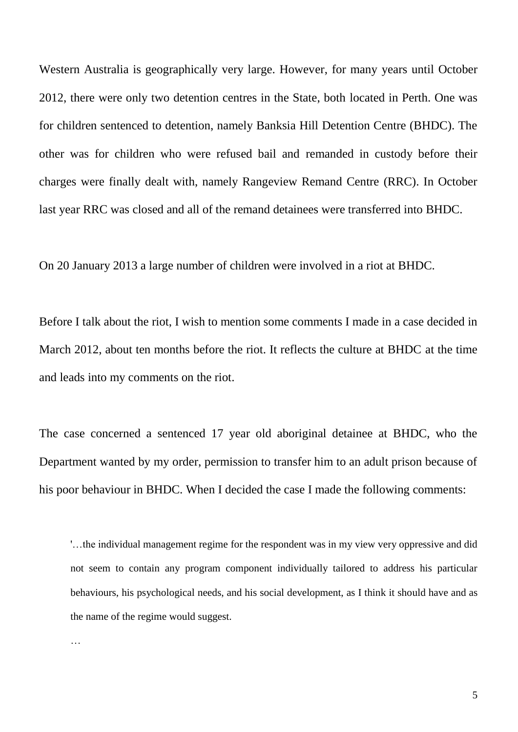Western Australia is geographically very large. However, for many years until October 2012, there were only two detention centres in the State, both located in Perth. One was for children sentenced to detention, namely Banksia Hill Detention Centre (BHDC). The other was for children who were refused bail and remanded in custody before their charges were finally dealt with, namely Rangeview Remand Centre (RRC). In October last year RRC was closed and all of the remand detainees were transferred into BHDC.

On 20 January 2013 a large number of children were involved in a riot at BHDC.

Before I talk about the riot, I wish to mention some comments I made in a case decided in March 2012, about ten months before the riot. It reflects the culture at BHDC at the time and leads into my comments on the riot.

The case concerned a sentenced 17 year old aboriginal detainee at BHDC, who the Department wanted by my order, permission to transfer him to an adult prison because of his poor behaviour in BHDC. When I decided the case I made the following comments:

'…the individual management regime for the respondent was in my view very oppressive and did not seem to contain any program component individually tailored to address his particular behaviours, his psychological needs, and his social development, as I think it should have and as the name of the regime would suggest.

…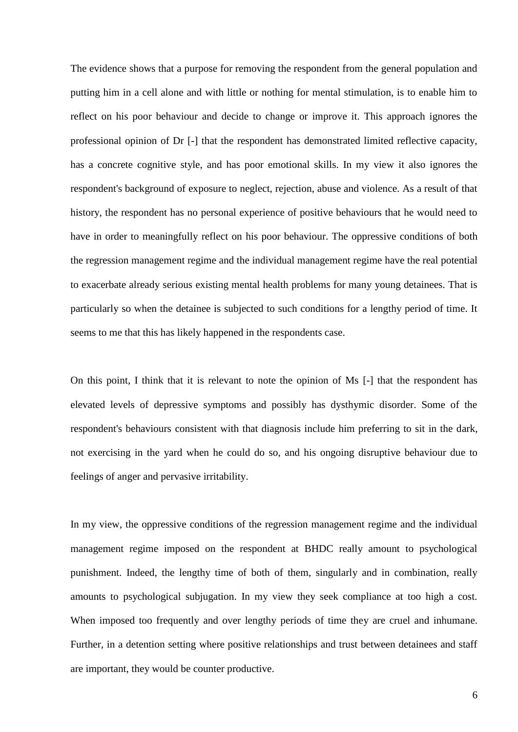The evidence shows that a purpose for removing the respondent from the general population and putting him in a cell alone and with little or nothing for mental stimulation, is to enable him to reflect on his poor behaviour and decide to change or improve it. This approach ignores the professional opinion of Dr [-] that the respondent has demonstrated limited reflective capacity, has a concrete cognitive style, and has poor emotional skills. In my view it also ignores the respondent's background of exposure to neglect, rejection, abuse and violence. As a result of that history, the respondent has no personal experience of positive behaviours that he would need to have in order to meaningfully reflect on his poor behaviour. The oppressive conditions of both the regression management regime and the individual management regime have the real potential to exacerbate already serious existing mental health problems for many young detainees. That is particularly so when the detainee is subjected to such conditions for a lengthy period of time. It seems to me that this has likely happened in the respondents case.

On this point, I think that it is relevant to note the opinion of Ms [-] that the respondent has elevated levels of depressive symptoms and possibly has dysthymic disorder. Some of the respondent's behaviours consistent with that diagnosis include him preferring to sit in the dark, not exercising in the yard when he could do so, and his ongoing disruptive behaviour due to feelings of anger and pervasive irritability.

In my view, the oppressive conditions of the regression management regime and the individual management regime imposed on the respondent at BHDC really amount to psychological punishment. Indeed, the lengthy time of both of them, singularly and in combination, really amounts to psychological subjugation. In my view they seek compliance at too high a cost. When imposed too frequently and over lengthy periods of time they are cruel and inhumane. Further, in a detention setting where positive relationships and trust between detainees and staff are important, they would be counter productive.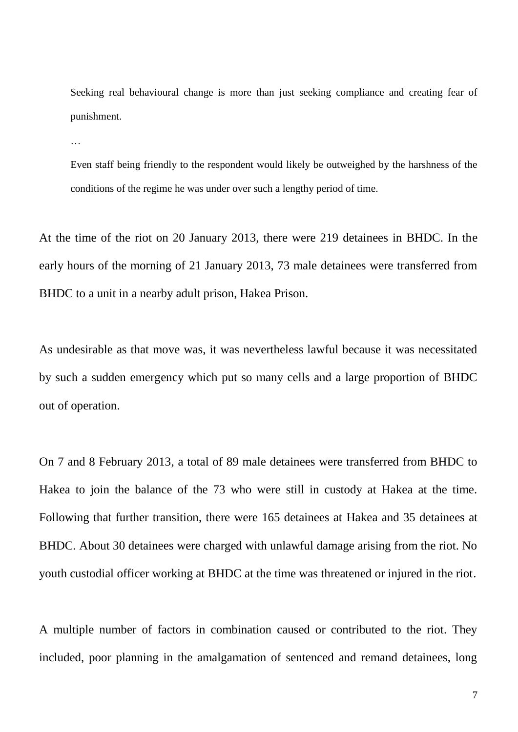Seeking real behavioural change is more than just seeking compliance and creating fear of punishment.

…

Even staff being friendly to the respondent would likely be outweighed by the harshness of the conditions of the regime he was under over such a lengthy period of time.

At the time of the riot on 20 January 2013, there were 219 detainees in BHDC. In the early hours of the morning of 21 January 2013, 73 male detainees were transferred from BHDC to a unit in a nearby adult prison, Hakea Prison.

As undesirable as that move was, it was nevertheless lawful because it was necessitated by such a sudden emergency which put so many cells and a large proportion of BHDC out of operation.

On 7 and 8 February 2013, a total of 89 male detainees were transferred from BHDC to Hakea to join the balance of the 73 who were still in custody at Hakea at the time. Following that further transition, there were 165 detainees at Hakea and 35 detainees at BHDC. About 30 detainees were charged with unlawful damage arising from the riot. No youth custodial officer working at BHDC at the time was threatened or injured in the riot.

A multiple number of factors in combination caused or contributed to the riot. They included, poor planning in the amalgamation of sentenced and remand detainees, long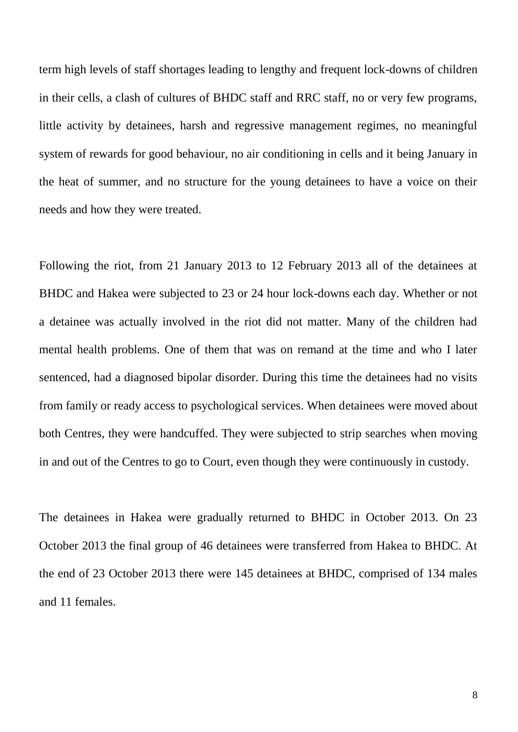term high levels of staff shortages leading to lengthy and frequent lock-downs of children in their cells, a clash of cultures of BHDC staff and RRC staff, no or very few programs, little activity by detainees, harsh and regressive management regimes, no meaningful system of rewards for good behaviour, no air conditioning in cells and it being January in the heat of summer, and no structure for the young detainees to have a voice on their needs and how they were treated.

Following the riot, from 21 January 2013 to 12 February 2013 all of the detainees at BHDC and Hakea were subjected to 23 or 24 hour lock-downs each day. Whether or not a detainee was actually involved in the riot did not matter. Many of the children had mental health problems. One of them that was on remand at the time and who I later sentenced, had a diagnosed bipolar disorder. During this time the detainees had no visits from family or ready access to psychological services. When detainees were moved about both Centres, they were handcuffed. They were subjected to strip searches when moving in and out of the Centres to go to Court, even though they were continuously in custody.

The detainees in Hakea were gradually returned to BHDC in October 2013. On 23 October 2013 the final group of 46 detainees were transferred from Hakea to BHDC. At the end of 23 October 2013 there were 145 detainees at BHDC, comprised of 134 males and 11 females.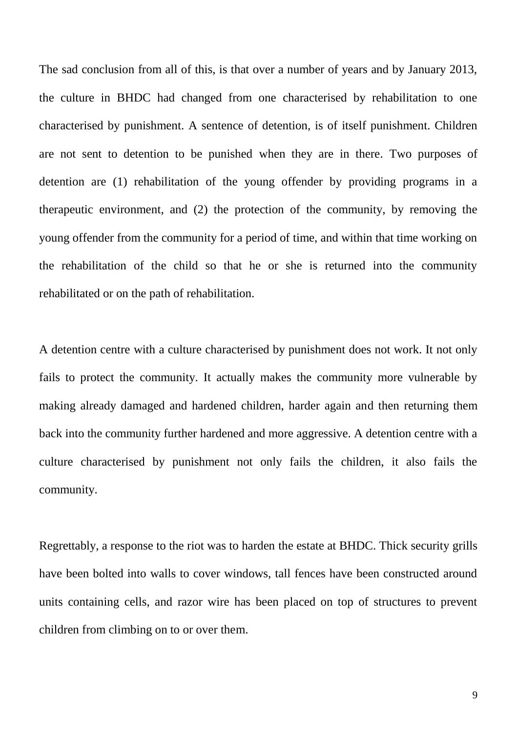The sad conclusion from all of this, is that over a number of years and by January 2013, the culture in BHDC had changed from one characterised by rehabilitation to one characterised by punishment. A sentence of detention, is of itself punishment. Children are not sent to detention to be punished when they are in there. Two purposes of detention are (1) rehabilitation of the young offender by providing programs in a therapeutic environment, and (2) the protection of the community, by removing the young offender from the community for a period of time, and within that time working on the rehabilitation of the child so that he or she is returned into the community rehabilitated or on the path of rehabilitation.

A detention centre with a culture characterised by punishment does not work. It not only fails to protect the community. It actually makes the community more vulnerable by making already damaged and hardened children, harder again and then returning them back into the community further hardened and more aggressive. A detention centre with a culture characterised by punishment not only fails the children, it also fails the community.

Regrettably, a response to the riot was to harden the estate at BHDC. Thick security grills have been bolted into walls to cover windows, tall fences have been constructed around units containing cells, and razor wire has been placed on top of structures to prevent children from climbing on to or over them.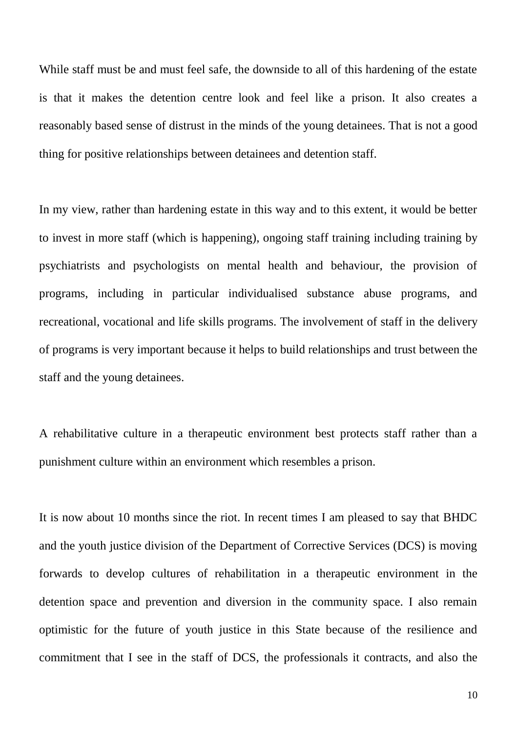While staff must be and must feel safe, the downside to all of this hardening of the estate is that it makes the detention centre look and feel like a prison. It also creates a reasonably based sense of distrust in the minds of the young detainees. That is not a good thing for positive relationships between detainees and detention staff.

In my view, rather than hardening estate in this way and to this extent, it would be better to invest in more staff (which is happening), ongoing staff training including training by psychiatrists and psychologists on mental health and behaviour, the provision of programs, including in particular individualised substance abuse programs, and recreational, vocational and life skills programs. The involvement of staff in the delivery of programs is very important because it helps to build relationships and trust between the staff and the young detainees.

A rehabilitative culture in a therapeutic environment best protects staff rather than a punishment culture within an environment which resembles a prison.

It is now about 10 months since the riot. In recent times I am pleased to say that BHDC and the youth justice division of the Department of Corrective Services (DCS) is moving forwards to develop cultures of rehabilitation in a therapeutic environment in the detention space and prevention and diversion in the community space. I also remain optimistic for the future of youth justice in this State because of the resilience and commitment that I see in the staff of DCS, the professionals it contracts, and also the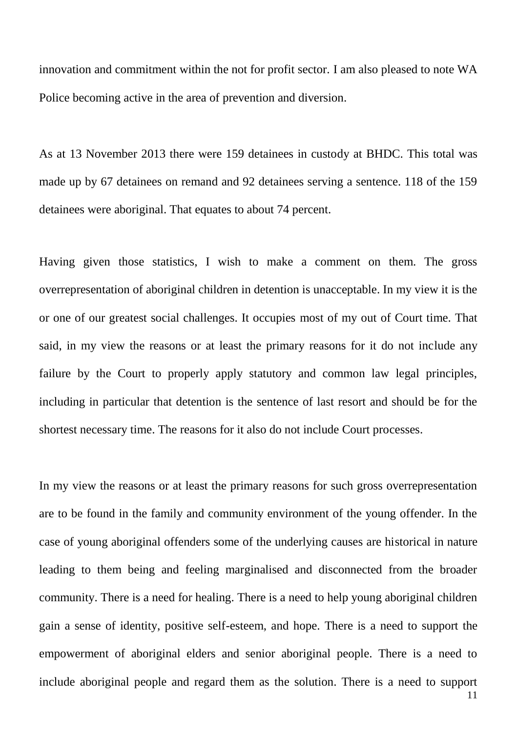innovation and commitment within the not for profit sector. I am also pleased to note WA Police becoming active in the area of prevention and diversion.

As at 13 November 2013 there were 159 detainees in custody at BHDC. This total was made up by 67 detainees on remand and 92 detainees serving a sentence. 118 of the 159 detainees were aboriginal. That equates to about 74 percent.

Having given those statistics, I wish to make a comment on them. The gross overrepresentation of aboriginal children in detention is unacceptable. In my view it is the or one of our greatest social challenges. It occupies most of my out of Court time. That said, in my view the reasons or at least the primary reasons for it do not include any failure by the Court to properly apply statutory and common law legal principles, including in particular that detention is the sentence of last resort and should be for the shortest necessary time. The reasons for it also do not include Court processes.

11 In my view the reasons or at least the primary reasons for such gross overrepresentation are to be found in the family and community environment of the young offender. In the case of young aboriginal offenders some of the underlying causes are historical in nature leading to them being and feeling marginalised and disconnected from the broader community. There is a need for healing. There is a need to help young aboriginal children gain a sense of identity, positive self-esteem, and hope. There is a need to support the empowerment of aboriginal elders and senior aboriginal people. There is a need to include aboriginal people and regard them as the solution. There is a need to support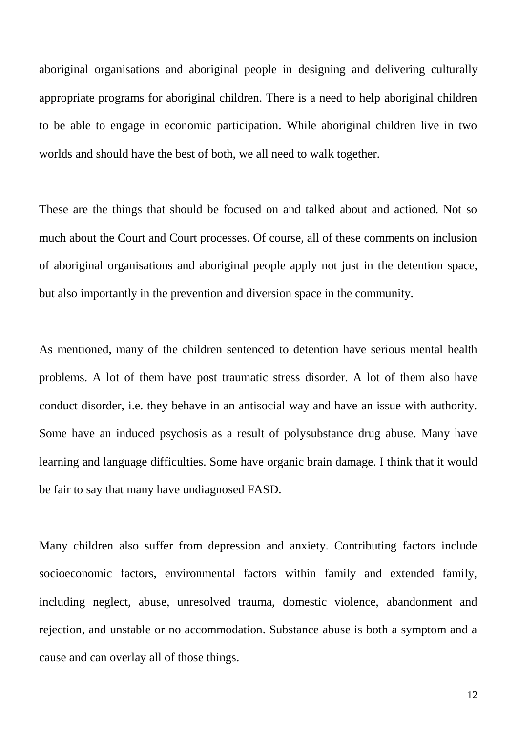aboriginal organisations and aboriginal people in designing and delivering culturally appropriate programs for aboriginal children. There is a need to help aboriginal children to be able to engage in economic participation. While aboriginal children live in two worlds and should have the best of both, we all need to walk together.

These are the things that should be focused on and talked about and actioned. Not so much about the Court and Court processes. Of course, all of these comments on inclusion of aboriginal organisations and aboriginal people apply not just in the detention space, but also importantly in the prevention and diversion space in the community.

As mentioned, many of the children sentenced to detention have serious mental health problems. A lot of them have post traumatic stress disorder. A lot of them also have conduct disorder, i.e. they behave in an antisocial way and have an issue with authority. Some have an induced psychosis as a result of polysubstance drug abuse. Many have learning and language difficulties. Some have organic brain damage. I think that it would be fair to say that many have undiagnosed FASD.

Many children also suffer from depression and anxiety. Contributing factors include socioeconomic factors, environmental factors within family and extended family, including neglect, abuse, unresolved trauma, domestic violence, abandonment and rejection, and unstable or no accommodation. Substance abuse is both a symptom and a cause and can overlay all of those things.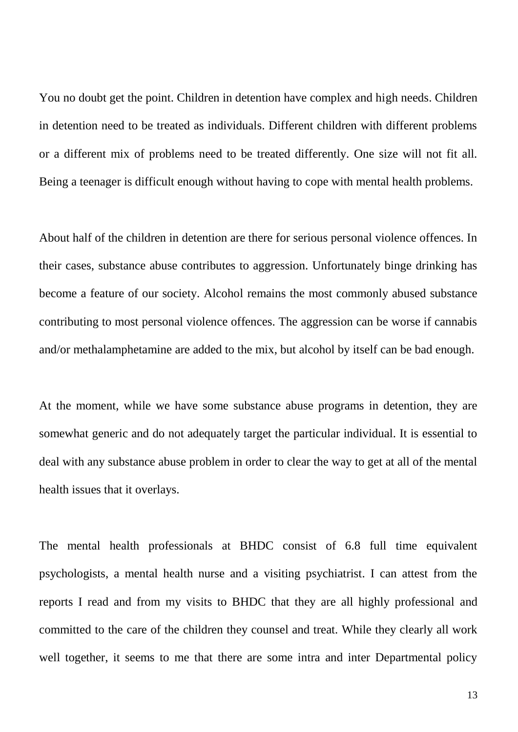You no doubt get the point. Children in detention have complex and high needs. Children in detention need to be treated as individuals. Different children with different problems or a different mix of problems need to be treated differently. One size will not fit all. Being a teenager is difficult enough without having to cope with mental health problems.

About half of the children in detention are there for serious personal violence offences. In their cases, substance abuse contributes to aggression. Unfortunately binge drinking has become a feature of our society. Alcohol remains the most commonly abused substance contributing to most personal violence offences. The aggression can be worse if cannabis and/or methalamphetamine are added to the mix, but alcohol by itself can be bad enough.

At the moment, while we have some substance abuse programs in detention, they are somewhat generic and do not adequately target the particular individual. It is essential to deal with any substance abuse problem in order to clear the way to get at all of the mental health issues that it overlays.

The mental health professionals at BHDC consist of 6.8 full time equivalent psychologists, a mental health nurse and a visiting psychiatrist. I can attest from the reports I read and from my visits to BHDC that they are all highly professional and committed to the care of the children they counsel and treat. While they clearly all work well together, it seems to me that there are some intra and inter Departmental policy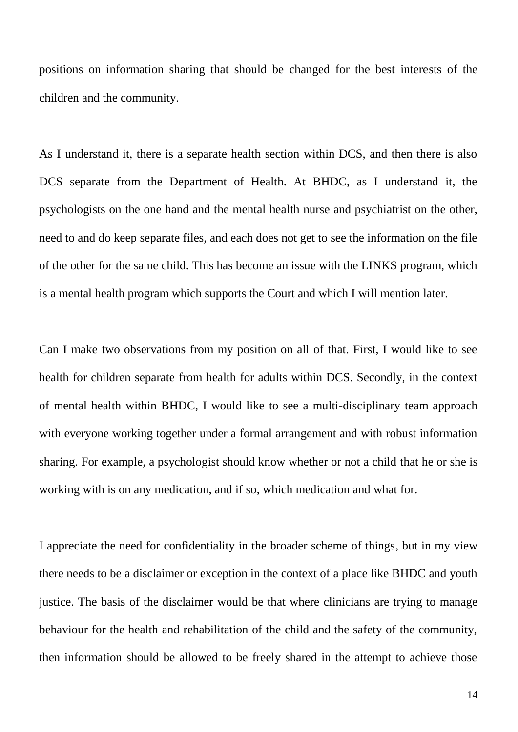positions on information sharing that should be changed for the best interests of the children and the community.

As I understand it, there is a separate health section within DCS, and then there is also DCS separate from the Department of Health. At BHDC, as I understand it, the psychologists on the one hand and the mental health nurse and psychiatrist on the other, need to and do keep separate files, and each does not get to see the information on the file of the other for the same child. This has become an issue with the LINKS program, which is a mental health program which supports the Court and which I will mention later.

Can I make two observations from my position on all of that. First, I would like to see health for children separate from health for adults within DCS. Secondly, in the context of mental health within BHDC, I would like to see a multi-disciplinary team approach with everyone working together under a formal arrangement and with robust information sharing. For example, a psychologist should know whether or not a child that he or she is working with is on any medication, and if so, which medication and what for.

I appreciate the need for confidentiality in the broader scheme of things, but in my view there needs to be a disclaimer or exception in the context of a place like BHDC and youth justice. The basis of the disclaimer would be that where clinicians are trying to manage behaviour for the health and rehabilitation of the child and the safety of the community, then information should be allowed to be freely shared in the attempt to achieve those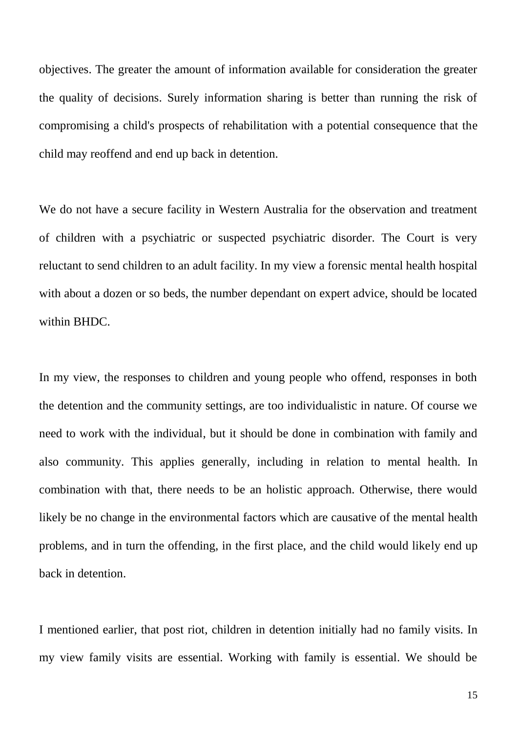objectives. The greater the amount of information available for consideration the greater the quality of decisions. Surely information sharing is better than running the risk of compromising a child's prospects of rehabilitation with a potential consequence that the child may reoffend and end up back in detention.

We do not have a secure facility in Western Australia for the observation and treatment of children with a psychiatric or suspected psychiatric disorder. The Court is very reluctant to send children to an adult facility. In my view a forensic mental health hospital with about a dozen or so beds, the number dependant on expert advice, should be located within BHDC.

In my view, the responses to children and young people who offend, responses in both the detention and the community settings, are too individualistic in nature. Of course we need to work with the individual, but it should be done in combination with family and also community. This applies generally, including in relation to mental health. In combination with that, there needs to be an holistic approach. Otherwise, there would likely be no change in the environmental factors which are causative of the mental health problems, and in turn the offending, in the first place, and the child would likely end up back in detention.

I mentioned earlier, that post riot, children in detention initially had no family visits. In my view family visits are essential. Working with family is essential. We should be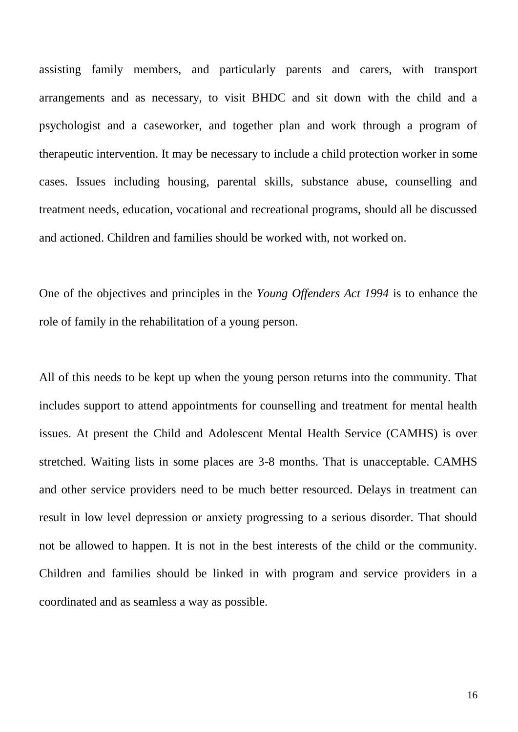assisting family members, and particularly parents and carers, with transport arrangements and as necessary, to visit BHDC and sit down with the child and a psychologist and a caseworker, and together plan and work through a program of therapeutic intervention. It may be necessary to include a child protection worker in some cases. Issues including housing, parental skills, substance abuse, counselling and treatment needs, education, vocational and recreational programs, should all be discussed and actioned. Children and families should be worked with, not worked on.

One of the objectives and principles in the *Young Offenders Act 1994* is to enhance the role of family in the rehabilitation of a young person.

All of this needs to be kept up when the young person returns into the community. That includes support to attend appointments for counselling and treatment for mental health issues. At present the Child and Adolescent Mental Health Service (CAMHS) is over stretched. Waiting lists in some places are 3-8 months. That is unacceptable. CAMHS and other service providers need to be much better resourced. Delays in treatment can result in low level depression or anxiety progressing to a serious disorder. That should not be allowed to happen. It is not in the best interests of the child or the community. Children and families should be linked in with program and service providers in a coordinated and as seamless a way as possible.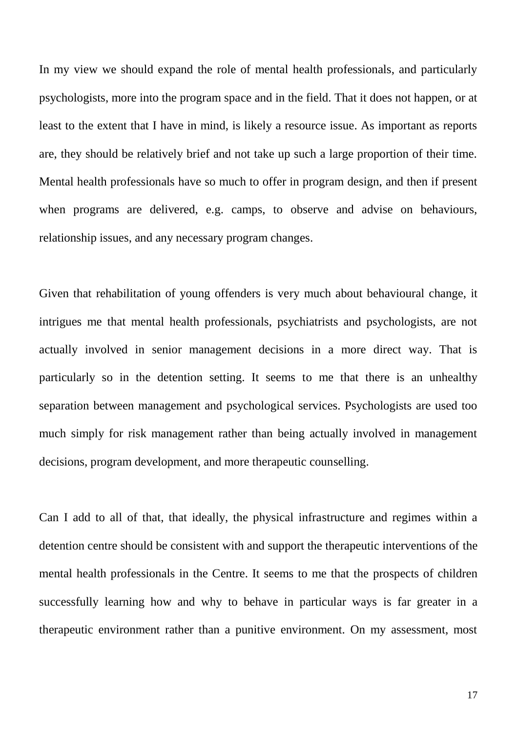In my view we should expand the role of mental health professionals, and particularly psychologists, more into the program space and in the field. That it does not happen, or at least to the extent that I have in mind, is likely a resource issue. As important as reports are, they should be relatively brief and not take up such a large proportion of their time. Mental health professionals have so much to offer in program design, and then if present when programs are delivered, e.g. camps, to observe and advise on behaviours, relationship issues, and any necessary program changes.

Given that rehabilitation of young offenders is very much about behavioural change, it intrigues me that mental health professionals, psychiatrists and psychologists, are not actually involved in senior management decisions in a more direct way. That is particularly so in the detention setting. It seems to me that there is an unhealthy separation between management and psychological services. Psychologists are used too much simply for risk management rather than being actually involved in management decisions, program development, and more therapeutic counselling.

Can I add to all of that, that ideally, the physical infrastructure and regimes within a detention centre should be consistent with and support the therapeutic interventions of the mental health professionals in the Centre. It seems to me that the prospects of children successfully learning how and why to behave in particular ways is far greater in a therapeutic environment rather than a punitive environment. On my assessment, most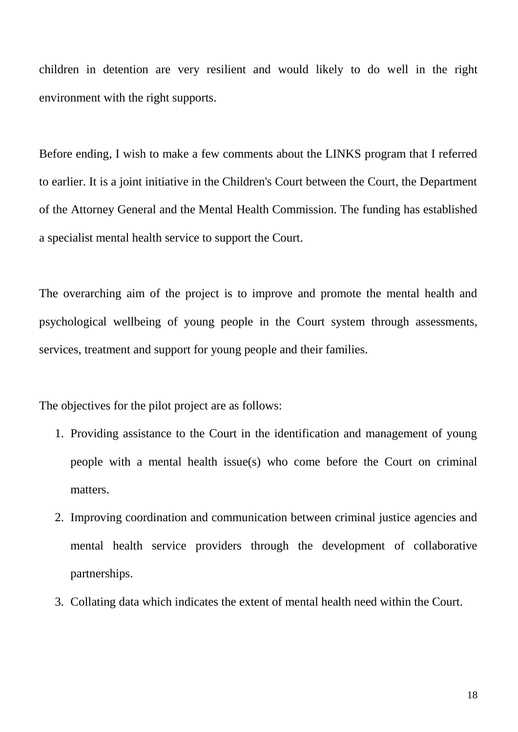children in detention are very resilient and would likely to do well in the right environment with the right supports.

Before ending, I wish to make a few comments about the LINKS program that I referred to earlier. It is a joint initiative in the Children's Court between the Court, the Department of the Attorney General and the Mental Health Commission. The funding has established a specialist mental health service to support the Court.

The overarching aim of the project is to improve and promote the mental health and psychological wellbeing of young people in the Court system through assessments, services, treatment and support for young people and their families.

The objectives for the pilot project are as follows:

- 1. Providing assistance to the Court in the identification and management of young people with a mental health issue(s) who come before the Court on criminal matters.
- 2. Improving coordination and communication between criminal justice agencies and mental health service providers through the development of collaborative partnerships.
- 3. Collating data which indicates the extent of mental health need within the Court.